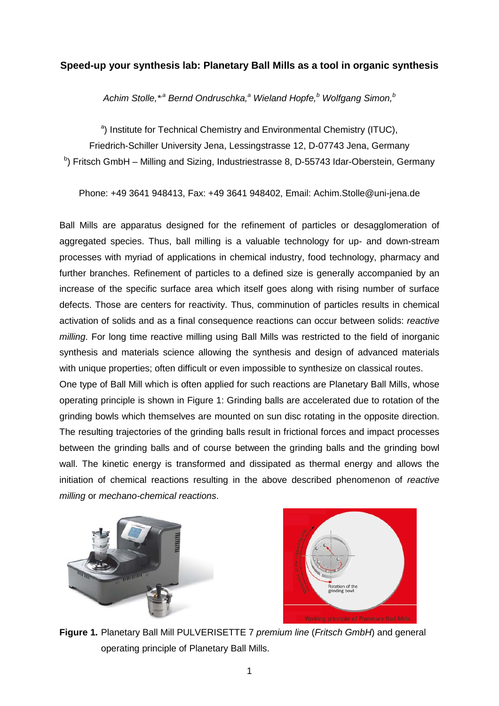## **Speed-up your synthesis lab: Planetary Ball Mills as a tool in organic synthesis**

*Achim Stolle,\*,a Bernd Ondruschka,<sup>a</sup> Wieland Hopfe,<sup>b</sup> Wolfgang Simon,<sup>b</sup>*

<sup>a</sup>) Institute for Technical Chemistry and Environmental Chemistry (ITUC),

Friedrich-Schiller University Jena, Lessingstrasse 12, D-07743 Jena, Germany

<sup>b</sup>) Fritsch GmbH – Milling and Sizing, Industriestrasse 8, D-55743 Idar-Oberstein, Germany

Phone: +49 3641 948413, Fax: +49 3641 948402, Email: Achim.Stolle@uni-jena.de

Ball Mills are apparatus designed for the refinement of particles or desagglomeration of aggregated species. Thus, ball milling is a valuable technology for up- and down-stream processes with myriad of applications in chemical industry, food technology, pharmacy and further branches. Refinement of particles to a defined size is generally accompanied by an increase of the specific surface area which itself goes along with rising number of surface defects. Those are centers for reactivity. Thus, comminution of particles results in chemical activation of solids and as a final consequence reactions can occur between solids: *reactive milling*. For long time reactive milling using Ball Mills was restricted to the field of inorganic synthesis and materials science allowing the synthesis and design of advanced materials with unique properties; often difficult or even impossible to synthesize on classical routes.

One type of Ball Mill which is often applied for such reactions are Planetary Ball Mills, whose operating principle is shown in Figure 1: Grinding balls are accelerated due to rotation of the grinding bowls which themselves are mounted on sun disc rotating in the opposite direction. The resulting trajectories of the grinding balls result in frictional forces and impact processes between the grinding balls and of course between the grinding balls and the grinding bowl wall. The kinetic energy is transformed and dissipated as thermal energy and allows the initiation of chemical reactions resulting in the above described phenomenon of *reactive milling* or *mechano-chemical reactions*.





**Figure 1.** Planetary Ball Mill PULVERISETTE 7 *premium line* (*Fritsch GmbH*) and general operating principle of Planetary Ball Mills.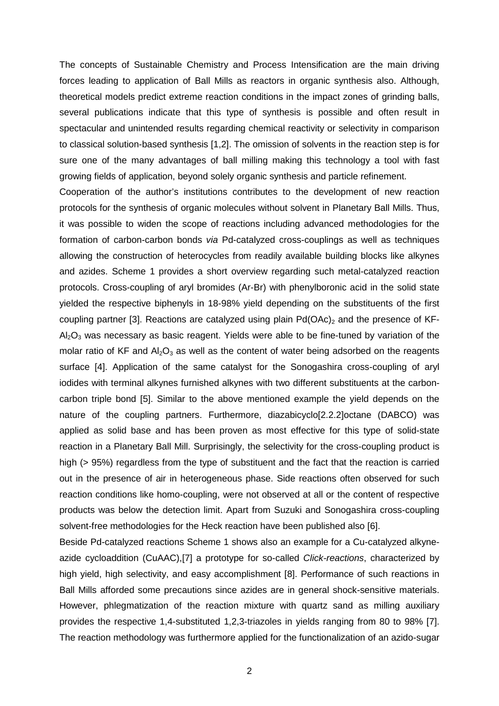The concepts of Sustainable Chemistry and Process Intensification are the main driving forces leading to application of Ball Mills as reactors in organic synthesis also. Although, theoretical models predict extreme reaction conditions in the impact zones of grinding balls, several publications indicate that this type of synthesis is possible and often result in spectacular and unintended results regarding chemical reactivity or selectivity in comparison to classical solution-based synthesis [1,2]. The omission of solvents in the reaction step is for sure one of the many advantages of ball milling making this technology a tool with fast growing fields of application, beyond solely organic synthesis and particle refinement.

Cooperation of the author's institutions contributes to the development of new reaction protocols for the synthesis of organic molecules without solvent in Planetary Ball Mills. Thus, it was possible to widen the scope of reactions including advanced methodologies for the formation of carbon-carbon bonds *via* Pd-catalyzed cross-couplings as well as techniques allowing the construction of heterocycles from readily available building blocks like alkynes and azides. Scheme 1 provides a short overview regarding such metal-catalyzed reaction protocols. Cross-coupling of aryl bromides (Ar-Br) with phenylboronic acid in the solid state yielded the respective biphenyls in 18-98% yield depending on the substituents of the first coupling partner [3]. Reactions are catalyzed using plain  $Pd(OAc)_2$  and the presence of KF- $A<sub>2</sub>O<sub>3</sub>$  was necessary as basic reagent. Yields were able to be fine-tuned by variation of the molar ratio of KF and  $Al_2O_3$  as well as the content of water being adsorbed on the reagents surface [4]. Application of the same catalyst for the Sonogashira cross-coupling of aryl iodides with terminal alkynes furnished alkynes with two different substituents at the carboncarbon triple bond [5]. Similar to the above mentioned example the yield depends on the nature of the coupling partners. Furthermore, diazabicyclo[2.2.2]octane (DABCO) was applied as solid base and has been proven as most effective for this type of solid-state reaction in a Planetary Ball Mill. Surprisingly, the selectivity for the cross-coupling product is high (> 95%) regardless from the type of substituent and the fact that the reaction is carried out in the presence of air in heterogeneous phase. Side reactions often observed for such reaction conditions like homo-coupling, were not observed at all or the content of respective products was below the detection limit. Apart from Suzuki and Sonogashira cross-coupling solvent-free methodologies for the Heck reaction have been published also [6].

Beside Pd-catalyzed reactions Scheme 1 shows also an example for a Cu-catalyzed alkyneazide cycloaddition (CuAAC),[7] a prototype for so-called *Click-reactions*, characterized by high yield, high selectivity, and easy accomplishment [8]. Performance of such reactions in Ball Mills afforded some precautions since azides are in general shock-sensitive materials. However, phlegmatization of the reaction mixture with quartz sand as milling auxiliary provides the respective 1,4-substituted 1,2,3-triazoles in yields ranging from 80 to 98% [7]. The reaction methodology was furthermore applied for the functionalization of an azido-sugar

2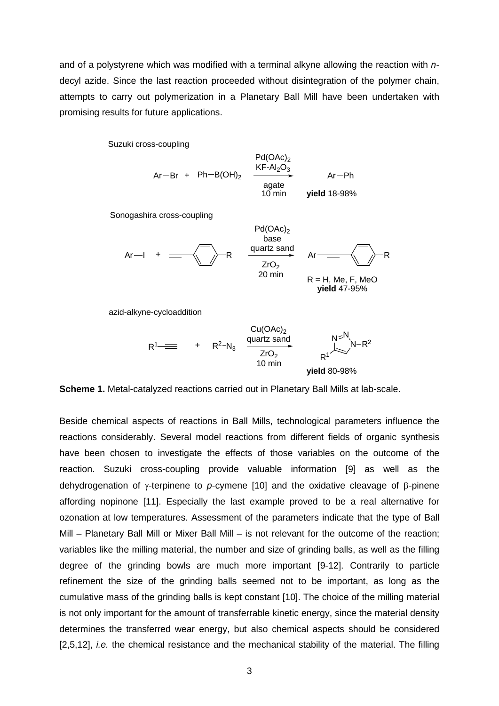and of a polystyrene which was modified with a terminal alkyne allowing the reaction with *n*decyl azide. Since the last reaction proceeded without disintegration of the polymer chain, attempts to carry out polymerization in a Planetary Ball Mill have been undertaken with promising results for future applications.

Suzuki cross-coupling

$$
Ar-Br + Ph-B(OH)2 \xrightarrow{KF-Al2O3}/{\text{area of the image}}
$$
  
\n
$$
10 \text{ min}
$$
\n
$$
yield 18-98%
$$

 $Pd(\bigcap A_{\alpha})$ 

 $Pd(\bigcap A_{\alpha})$ 

Sonogashira cross-coupling

$$
Ar-I + \equiv \sqrt{\phantom{12525}} R
$$
\n
$$
R = H, Me, F, MeO
$$
\n
$$
R = H, Me, 795%
$$
\nvield 47-95%

azid-alkyne-cycloaddition

$$
R1\n\begin{array}{r}\n\text{Cu(OAc)}_{2} \\
\text{H}^1 \times R^2 - N_3 \\
\text{I0 min}\n\end{array}\n\qquad\n\begin{array}{r}\n\text{Cu(OAc)}_{2} \\
\text{C}^1 \times R^1 \\
\text{N}^2 \times R^1\n\end{array}\n\qquad\n\begin{array}{r}\nN = N \\
\text{N}^2 - R^2 \\
\text{N}^2 \times R^1\n\end{array}
$$

**Scheme 1.** Metal-catalyzed reactions carried out in Planetary Ball Mills at lab-scale.

Beside chemical aspects of reactions in Ball Mills, technological parameters influence the reactions considerably. Several model reactions from different fields of organic synthesis have been chosen to investigate the effects of those variables on the outcome of the reaction. Suzuki cross-coupling provide valuable information [9] as well as the dehydrogenation of γ-terpinene to *p*-cymene [10] and the oxidative cleavage of β-pinene affording nopinone [11]. Especially the last example proved to be a real alternative for ozonation at low temperatures. Assessment of the parameters indicate that the type of Ball Mill – Planetary Ball Mill or Mixer Ball Mill – is not relevant for the outcome of the reaction; variables like the milling material, the number and size of grinding balls, as well as the filling degree of the grinding bowls are much more important [9-12]. Contrarily to particle refinement the size of the grinding balls seemed not to be important, as long as the cumulative mass of the grinding balls is kept constant [10]. The choice of the milling material is not only important for the amount of transferrable kinetic energy, since the material density determines the transferred wear energy, but also chemical aspects should be considered [2,5,12], *i.e.* the chemical resistance and the mechanical stability of the material. The filling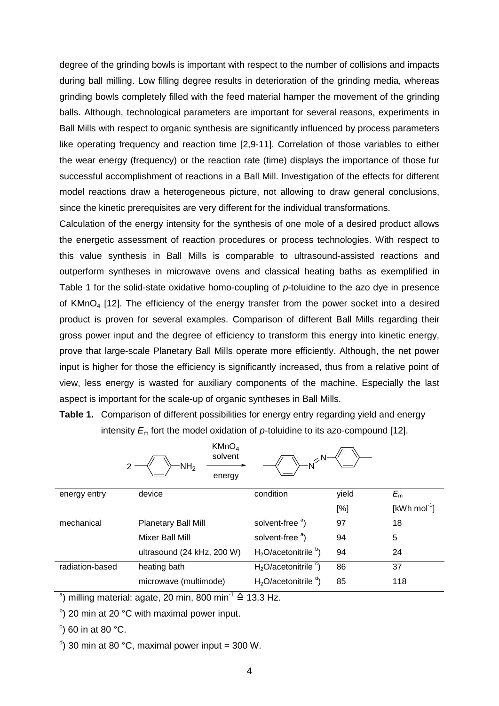degree of the grinding bowls is important with respect to the number of collisions and impacts during ball milling. Low filling degree results in deterioration of the grinding media, whereas grinding bowls completely filled with the feed material hamper the movement of the grinding balls. Although, technological parameters are important for several reasons, experiments in Ball Mills with respect to organic synthesis are significantly influenced by process parameters like operating frequency and reaction time [2,9-11]. Correlation of those variables to either the wear energy (frequency) or the reaction rate (time) displays the importance of those fur successful accomplishment of reactions in a Ball Mill. Investigation of the effects for different model reactions draw a heterogeneous picture, not allowing to draw general conclusions, since the kinetic prerequisites are very different for the individual transformations.

Calculation of the energy intensity for the synthesis of one mole of a desired product allows the energetic assessment of reaction procedures or process technologies. With respect to this value synthesis in Ball Mills is comparable to ultrasound-assisted reactions and outperform syntheses in microwave ovens and classical heating baths as exemplified in Table 1 for the solid-state oxidative homo-coupling of *p*-toluidine to the azo dye in presence of KMnO<sub>4</sub> [12]. The efficiency of the energy transfer from the power socket into a desired product is proven for several examples. Comparison of different Ball Mills regarding their gross power input and the degree of efficiency to transform this energy into kinetic energy, prove that large-scale Planetary Ball Mills operate more efficiently. Although, the net power input is higher for those the efficiency is significantly increased, thus from a relative point of view, less energy is wasted for auxiliary components of the machine. Especially the last aspect is important for the scale-up of organic syntheses in Ball Mills.

| <b>Table 1.</b> Comparison of different possibilities for energy entry regarding yield and energy |
|---------------------------------------------------------------------------------------------------|
| intensity $E_m$ fort the model oxidation of p-toluidine to its azo-compound [12].                 |

|                 | KMnO <sub>4</sub><br>solvent<br>NH <sub>2</sub><br>energy |                             |       |                       |
|-----------------|-----------------------------------------------------------|-----------------------------|-------|-----------------------|
| energy entry    | device                                                    | condition                   | yield | $E_{m}$               |
|                 |                                                           |                             | [%]   | $[kWh \text{ mol}^1]$ |
| mechanical      | Planetary Ball Mill                                       | solvent-free <sup>a</sup> ) | 97    | 18                    |
|                 | Mixer Ball Mill                                           | solvent-free <sup>a</sup> ) | 94    | 5                     |
|                 | ultrasound (24 kHz, 200 W)                                | $H2O/acetonitrileb)$        | 94    | 24                    |
| radiation-based | heating bath                                              | $H2O/acetonitrilec)$        | 86    | 37                    |
|                 | microwave (multimode)                                     | $H2O/acetonitrilea)$        | 85    | 118                   |

<sup>a</sup>) milling material: agate, 20 min, 800 min<sup>-1</sup>  $\triangleq$  13.3 Hz.

 $\sigma$ ) 20 min at 20 °C with maximal power input.

 $\degree$ ) 60 in at 80  $\degree$ C.

 $\alpha$ ) 30 min at 80 °C, maximal power input = 300 W.